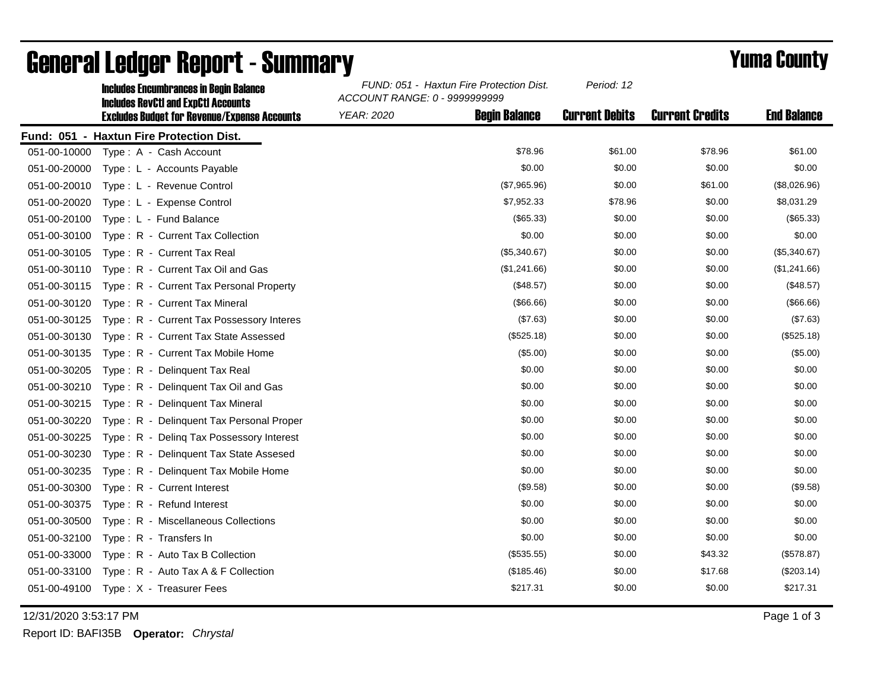|              | <b>Includes Encumbrances in Begin Balance</b><br><b>Includes RevCtI and ExpCtI Accounts</b> | FUND: 051 - Haxtun Fire Protection Dist.<br>ACCOUNT RANGE: 0 - 9999999999 | Period: 12            |                        |                    |
|--------------|---------------------------------------------------------------------------------------------|---------------------------------------------------------------------------|-----------------------|------------------------|--------------------|
|              | <b>Excludes Budget for Revenue/Expense Accounts</b>                                         | <b>Begin Balance</b><br><b>YEAR: 2020</b>                                 | <b>Current Debits</b> | <b>Current Credits</b> | <b>End Balance</b> |
|              | Fund: 051 - Haxtun Fire Protection Dist.                                                    |                                                                           |                       |                        |                    |
| 051-00-10000 | Type: A - Cash Account                                                                      | \$78.96                                                                   | \$61.00               | \$78.96                | \$61.00            |
| 051-00-20000 | Type: L - Accounts Payable                                                                  | \$0.00                                                                    | \$0.00                | \$0.00                 | \$0.00             |
| 051-00-20010 | Type: L - Revenue Control                                                                   | (\$7,965.96)                                                              | \$0.00                | \$61.00                | (\$8,026.96)       |
| 051-00-20020 | Type: L - Expense Control                                                                   | \$7,952.33                                                                | \$78.96               | \$0.00                 | \$8,031.29         |
| 051-00-20100 | Type: L - Fund Balance                                                                      | (\$65.33)                                                                 | \$0.00                | \$0.00                 | (\$65.33)          |
| 051-00-30100 | Type: R - Current Tax Collection                                                            | \$0.00                                                                    | \$0.00                | \$0.00                 | \$0.00             |
| 051-00-30105 | Type: R - Current Tax Real                                                                  | (\$5,340.67)                                                              | \$0.00                | \$0.00                 | (\$5,340.67)       |
| 051-00-30110 | Type: R - Current Tax Oil and Gas                                                           | (\$1,241.66)                                                              | \$0.00                | \$0.00                 | (\$1,241.66)       |
| 051-00-30115 | Type: R - Current Tax Personal Property                                                     | (\$48.57)                                                                 | \$0.00                | \$0.00                 | (\$48.57)          |
| 051-00-30120 | Type: R - Current Tax Mineral                                                               | (\$66.66)                                                                 | \$0.00                | \$0.00                 | (\$66.66)          |
| 051-00-30125 | Type: R - Current Tax Possessory Interes                                                    | (\$7.63)                                                                  | \$0.00                | \$0.00                 | (\$7.63)           |
| 051-00-30130 | Type: R - Current Tax State Assessed                                                        | (\$525.18)                                                                | \$0.00                | \$0.00                 | (\$525.18)         |
| 051-00-30135 | Type: R - Current Tax Mobile Home                                                           | (\$5.00)                                                                  | \$0.00                | \$0.00                 | (\$5.00)           |
| 051-00-30205 | Type: R - Delinquent Tax Real                                                               | \$0.00                                                                    | \$0.00                | \$0.00                 | \$0.00             |
| 051-00-30210 | Type: R - Delinquent Tax Oil and Gas                                                        | \$0.00                                                                    | \$0.00                | \$0.00                 | \$0.00             |
| 051-00-30215 | Type: R - Delinquent Tax Mineral                                                            | \$0.00                                                                    | \$0.00                | \$0.00                 | \$0.00             |
| 051-00-30220 | Type: R - Delinquent Tax Personal Proper                                                    | \$0.00                                                                    | \$0.00                | \$0.00                 | \$0.00             |
| 051-00-30225 | Type: R - Deling Tax Possessory Interest                                                    | \$0.00                                                                    | \$0.00                | \$0.00                 | \$0.00             |
| 051-00-30230 | Type: R - Delinquent Tax State Assesed                                                      | \$0.00                                                                    | \$0.00                | \$0.00                 | \$0.00             |
| 051-00-30235 | Type: R - Delinquent Tax Mobile Home                                                        | \$0.00                                                                    | \$0.00                | \$0.00                 | \$0.00             |
| 051-00-30300 | Type: R - Current Interest                                                                  | (\$9.58)                                                                  | \$0.00                | \$0.00                 | (\$9.58)           |
| 051-00-30375 | Type: R - Refund Interest                                                                   | \$0.00                                                                    | \$0.00                | \$0.00                 | \$0.00             |
| 051-00-30500 | Type: R - Miscellaneous Collections                                                         | \$0.00                                                                    | \$0.00                | \$0.00                 | \$0.00             |
| 051-00-32100 | Type: R - Transfers In                                                                      | \$0.00                                                                    | \$0.00                | \$0.00                 | \$0.00             |
| 051-00-33000 | Type: R - Auto Tax B Collection                                                             | (\$535.55)                                                                | \$0.00                | \$43.32                | (\$578.87)         |
| 051-00-33100 | Type: R - Auto Tax A & F Collection                                                         | (\$185.46)                                                                | \$0.00                | \$17.68                | (\$203.14)         |
| 051-00-49100 | Type: X - Treasurer Fees                                                                    | \$217.31                                                                  | \$0.00                | \$0.00                 | \$217.31           |

## General Ledger Report - Summary **Example 2018** Yuma County

12/31/2020 3:53:17 PM Page 1 of 3

Report ID: BAFI35B **Operator:** *Chrystal*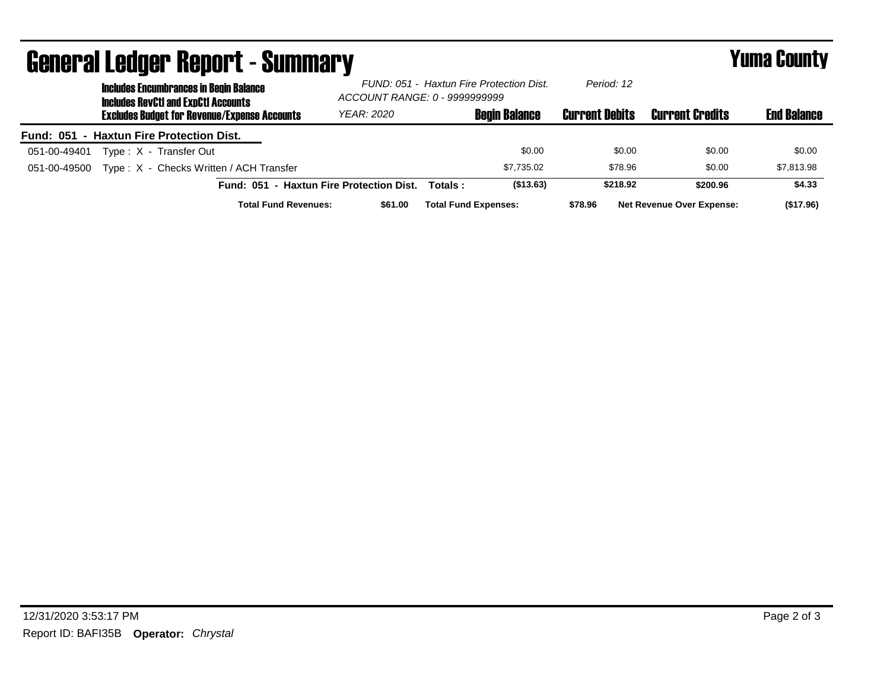| <b>General Ledger Report - Summary</b> |                                                                                             |                                                     |                                          |                                                                           |         | <b>Yuma County</b>          |                       |                                  |                    |
|----------------------------------------|---------------------------------------------------------------------------------------------|-----------------------------------------------------|------------------------------------------|---------------------------------------------------------------------------|---------|-----------------------------|-----------------------|----------------------------------|--------------------|
|                                        | <b>Includes Encumbrances in Begin Balance</b><br><b>Includes RevCtI and ExpCtI Accounts</b> |                                                     |                                          | FUND: 051 - Haxtun Fire Protection Dist.<br>ACCOUNT RANGE: 0 - 9999999999 |         | Period: 12                  |                       |                                  |                    |
|                                        |                                                                                             | <b>Excludes Budget for Revenue/Expense Accounts</b> |                                          | <b>YEAR: 2020</b>                                                         |         | <b>Begin Balance</b>        | <b>Current Debits</b> | <b>Current Credits</b>           | <b>End Balance</b> |
|                                        |                                                                                             | Fund: 051 - Haxtun Fire Protection Dist.            |                                          |                                                                           |         |                             |                       |                                  |                    |
| 051-00-49401                           |                                                                                             | Type: X - Transfer Out                              |                                          |                                                                           |         | \$0.00                      | \$0.00                | \$0.00                           | \$0.00             |
| 051-00-49500                           |                                                                                             | Type: X - Checks Written / ACH Transfer             |                                          |                                                                           |         | \$7.735.02                  | \$78.96               | \$0.00                           | \$7,813.98         |
|                                        |                                                                                             |                                                     | Fund: 051 - Haxtun Fire Protection Dist. |                                                                           | Totals: | (\$13.63)                   | \$218.92              | \$200.96                         | \$4.33             |
|                                        |                                                                                             |                                                     | <b>Total Fund Revenues:</b>              | \$61.00                                                                   |         | <b>Total Fund Expenses:</b> | \$78.96               | <b>Net Revenue Over Expense:</b> | (\$17.96)          |